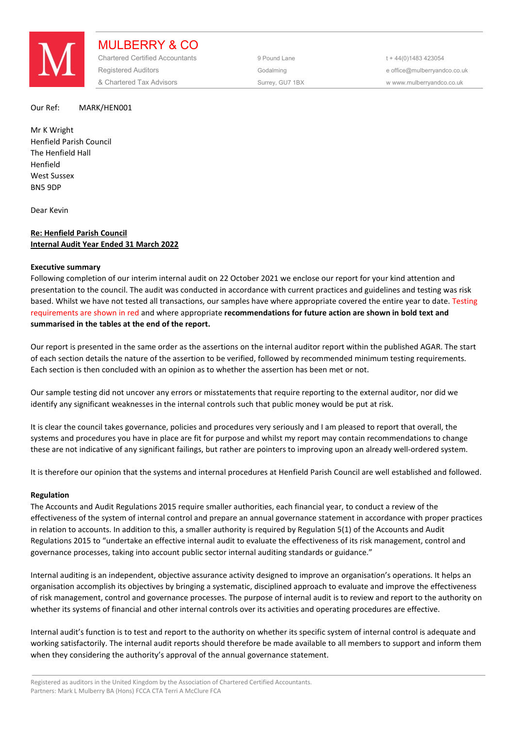

MULBERRY & CO Chartered Certified Accountants 9 Pound Lane 5 144(0)1483 423054 Registered Auditors **Construction Construction** Godalming **Construction Construction** e office@mulberryandco.co.uk & Chartered Tax Advisors Surrey, GU7 1BX w www.mulberryandco.co.uk

## Our Ref: MARK/HEN001

Mr K Wright Henfield Parish Council The Henfield Hall Henfield West Sussex BN5 9DP

Dear Kevin

# **Re: Henfield Parish Council Internal Audit Year Ended 31 March 2022**

## **Executive summary**

Following completion of our interim internal audit on 22 October 2021 we enclose our report for your kind attention and presentation to the council. The audit was conducted in accordance with current practices and guidelines and testing was risk based. Whilst we have not tested all transactions, our samples have where appropriate covered the entire year to date. Testing requirements are shown in red and where appropriate **recommendations for future action are shown in bold text and summarised in the tables at the end of the report.** 

Our report is presented in the same order as the assertions on the internal auditor report within the published AGAR. The start of each section details the nature of the assertion to be verified, followed by recommended minimum testing requirements. Each section is then concluded with an opinion as to whether the assertion has been met or not.

Our sample testing did not uncover any errors or misstatements that require reporting to the external auditor, nor did we identify any significant weaknesses in the internal controls such that public money would be put at risk.

It is clear the council takes governance, policies and procedures very seriously and I am pleased to report that overall, the systems and procedures you have in place are fit for purpose and whilst my report may contain recommendations to change these are not indicative of any significant failings, but rather are pointers to improving upon an already well-ordered system.

It is therefore our opinion that the systems and internal procedures at Henfield Parish Council are well established and followed.

# **Regulation**

The Accounts and Audit Regulations 2015 require smaller authorities, each financial year, to conduct a review of the effectiveness of the system of internal control and prepare an annual governance statement in accordance with proper practices in relation to accounts. In addition to this, a smaller authority is required by Regulation 5(1) of the Accounts and Audit Regulations 2015 to "undertake an effective internal audit to evaluate the effectiveness of its risk management, control and governance processes, taking into account public sector internal auditing standards or guidance."

Internal auditing is an independent, objective assurance activity designed to improve an organisation's operations. It helps an organisation accomplish its objectives by bringing a systematic, disciplined approach to evaluate and improve the effectiveness of risk management, control and governance processes. The purpose of internal audit is to review and report to the authority on whether its systems of financial and other internal controls over its activities and operating procedures are effective.

Internal audit's function is to test and report to the authority on whether its specific system of internal control is adequate and working satisfactorily. The internal audit reports should therefore be made available to all members to support and inform them when they considering the authority's approval of the annual governance statement.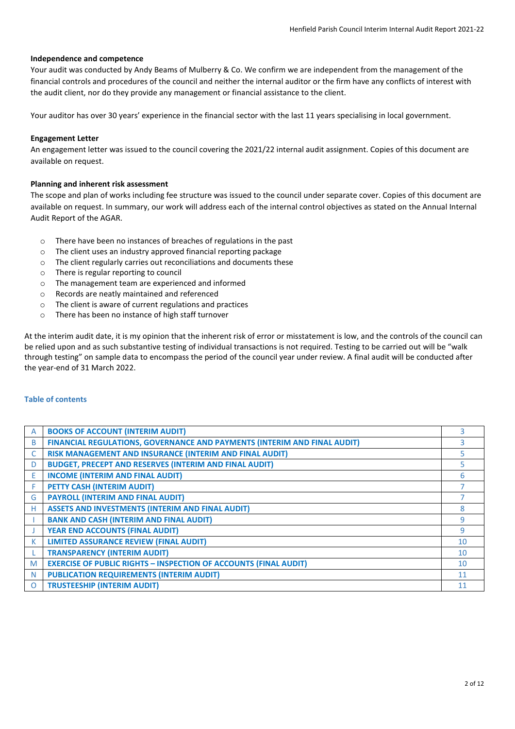# **Independence and competence**

Your audit was conducted by Andy Beams of Mulberry & Co. We confirm we are independent from the management of the financial controls and procedures of the council and neither the internal auditor or the firm have any conflicts of interest with the audit client, nor do they provide any management or financial assistance to the client.

Your auditor has over 30 years' experience in the financial sector with the last 11 years specialising in local government.

# **Engagement Letter**

An engagement letter was issued to the council covering the 2021/22 internal audit assignment. Copies of this document are available on request.

# **Planning and inherent risk assessment**

The scope and plan of works including fee structure was issued to the council under separate cover. Copies of this document are available on request. In summary, our work will address each of the internal control objectives as stated on the Annual Internal Audit Report of the AGAR.

- o There have been no instances of breaches of regulations in the past
- $\circ$  The client uses an industry approved financial reporting package  $\circ$  The client regularly carries out reconciliations and documents the
- $\circ$  The client regularly carries out reconciliations and documents these  $\circ$  There is regular reporting to council
- There is regular reporting to council
- o The management team are experienced and informed
- o Records are neatly maintained and referenced
- o The client is aware of current regulations and practices
- o There has been no instance of high staff turnover

At the interim audit date, it is my opinion that the inherent risk of error or misstatement is low, and the controls of the council can be relied upon and as such substantive testing of individual transactions is not required. Testing to be carried out will be "walk through testing" on sample data to encompass the period of the council year under review. A final audit will be conducted after the year-end of 31 March 2022.

# **Table of contents**

| A | <b>BOOKS OF ACCOUNT (INTERIM AUDIT)</b>                                  |                 |
|---|--------------------------------------------------------------------------|-----------------|
| B | FINANCIAL REGULATIONS, GOVERNANCE AND PAYMENTS (INTERIM AND FINAL AUDIT) | 3               |
| C | RISK MANAGEMENT AND INSURANCE (INTERIM AND FINAL AUDIT)                  |                 |
| D | <b>BUDGET, PRECEPT AND RESERVES (INTERIM AND FINAL AUDIT)</b>            |                 |
| E | <b>INCOME (INTERIM AND FINAL AUDIT)</b>                                  | 6               |
|   | PETTY CASH (INTERIM AUDIT)                                               |                 |
| G | <b>PAYROLL (INTERIM AND FINAL AUDIT)</b>                                 |                 |
| н | <b>ASSETS AND INVESTMENTS (INTERIM AND FINAL AUDIT)</b>                  | 8               |
|   | <b>BANK AND CASH (INTERIM AND FINAL AUDIT)</b>                           | q               |
|   | <b>YEAR END ACCOUNTS (FINAL AUDIT)</b>                                   | 9               |
| к | <b>LIMITED ASSURANCE REVIEW (FINAL AUDIT)</b>                            | 10              |
|   | <b>TRANSPARENCY (INTERIM AUDIT)</b>                                      | 10              |
| M | <b>EXERCISE OF PUBLIC RIGHTS - INSPECTION OF ACCOUNTS (FINAL AUDIT)</b>  | 10 <sup>1</sup> |
| N | <b>PUBLICATION REQUIREMENTS (INTERIM AUDIT)</b>                          | 11              |
| Ω | <b>TRUSTEESHIP (INTERIM AUDIT)</b>                                       |                 |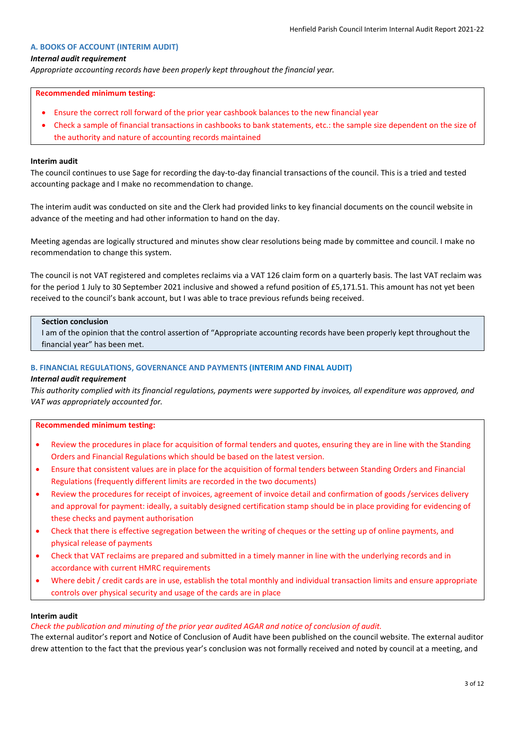## **A. BOOKS OF ACCOUNT (INTERIM AUDIT)**

### *Internal audit requirement*

*Appropriate accounting records have been properly kept throughout the financial year.*

#### **Recommended minimum testing:**

- Ensure the correct roll forward of the prior year cashbook balances to the new financial year
- Check a sample of financial transactions in cashbooks to bank statements, etc.: the sample size dependent on the size of the authority and nature of accounting records maintained

#### **Interim audit**

The council continues to use Sage for recording the day-to-day financial transactions of the council. This is a tried and tested accounting package and I make no recommendation to change.

The interim audit was conducted on site and the Clerk had provided links to key financial documents on the council website in advance of the meeting and had other information to hand on the day.

Meeting agendas are logically structured and minutes show clear resolutions being made by committee and council. I make no recommendation to change this system.

The council is not VAT registered and completes reclaims via a VAT 126 claim form on a quarterly basis. The last VAT reclaim was for the period 1 July to 30 September 2021 inclusive and showed a refund position of £5,171.51. This amount has not yet been received to the council's bank account, but I was able to trace previous refunds being received.

## **Section conclusion**

I am of the opinion that the control assertion of "Appropriate accounting records have been properly kept throughout the financial year" has been met.

### **B. FINANCIAL REGULATIONS, GOVERNANCE AND PAYMENTS (INTERIM AND FINAL AUDIT)**

## *Internal audit requirement*

*This authority complied with its financial regulations, payments were supported by invoices, all expenditure was approved, and VAT was appropriately accounted for.*

## **Recommended minimum testing:**

- Review the procedures in place for acquisition of formal tenders and quotes, ensuring they are in line with the Standing Orders and Financial Regulations which should be based on the latest version.
- Ensure that consistent values are in place for the acquisition of formal tenders between Standing Orders and Financial Regulations (frequently different limits are recorded in the two documents)
- Review the procedures for receipt of invoices, agreement of invoice detail and confirmation of goods /services delivery and approval for payment: ideally, a suitably designed certification stamp should be in place providing for evidencing of these checks and payment authorisation
- Check that there is effective segregation between the writing of cheques or the setting up of online payments, and physical release of payments
- Check that VAT reclaims are prepared and submitted in a timely manner in line with the underlying records and in accordance with current HMRC requirements
- Where debit / credit cards are in use, establish the total monthly and individual transaction limits and ensure appropriate controls over physical security and usage of the cards are in place

### **Interim audit**

### *Check the publication and minuting of the prior year audited AGAR and notice of conclusion of audit.*

The external auditor's report and Notice of Conclusion of Audit have been published on the council website. The external auditor drew attention to the fact that the previous year's conclusion was not formally received and noted by council at a meeting, and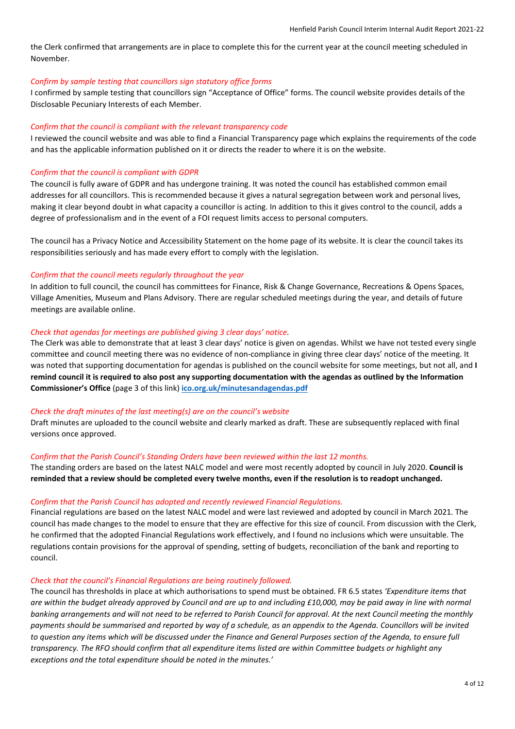the Clerk confirmed that arrangements are in place to complete this for the current year at the council meeting scheduled in November.

## *Confirm by sample testing that councillors sign statutory office forms*

I confirmed by sample testing that councillors sign "Acceptance of Office" forms. The council website provides details of the Disclosable Pecuniary Interests of each Member.

# *Confirm that the council is compliant with the relevant transparency code*

I reviewed the council website and was able to find a Financial Transparency page which explains the requirements of the code and has the applicable information published on it or directs the reader to where it is on the website.

# *Confirm that the council is compliant with GDPR*

The council is fully aware of GDPR and has undergone training. It was noted the council has established common email addresses for all councillors. This is recommended because it gives a natural segregation between work and personal lives, making it clear beyond doubt in what capacity a councillor is acting. In addition to this it gives control to the council, adds a degree of professionalism and in the event of a FOI request limits access to personal computers.

The council has a Privacy Notice and Accessibility Statement on the home page of its website. It is clear the council takes its responsibilities seriously and has made every effort to comply with the legislation.

## *Confirm that the council meets regularly throughout the year*

In addition to full council, the council has committees for Finance, Risk & Change Governance, Recreations & Opens Spaces, Village Amenities, Museum and Plans Advisory. There are regular scheduled meetings during the year, and details of future meetings are available online.

## *Check that agendas for meetings are published giving 3 clear days' notice.*

The Clerk was able to demonstrate that at least 3 clear days' notice is given on agendas. Whilst we have not tested every single committee and council meeting there was no evidence of non-compliance in giving three clear days' notice of the meeting. It was noted that supporting documentation for agendas is published on the council website for some meetings, but not all, and **I remind council it is required to also post any supporting documentation with the agendas as outlined by the Information Commissioner's Office** (page 3 of this link) **[ico.org.uk/minutesandagendas.pdf](https://ico.org.uk/media/for-organisations/documents/1156/minutesandagendas.pdf)**

## *Check the draft minutes of the last meeting(s) are on the council's website*

Draft minutes are uploaded to the council website and clearly marked as draft. These are subsequently replaced with final versions once approved.

### *Confirm that the Parish Council's Standing Orders have been reviewed within the last 12 months.*

The standing orders are based on the latest NALC model and were most recently adopted by council in July 2020. **Council is reminded that a review should be completed every twelve months, even if the resolution is to readopt unchanged.**

# *Confirm that the Parish Council has adopted and recently reviewed Financial Regulations.*

Financial regulations are based on the latest NALC model and were last reviewed and adopted by council in March 2021. The council has made changes to the model to ensure that they are effective for this size of council. From discussion with the Clerk, he confirmed that the adopted Financial Regulations work effectively, and I found no inclusions which were unsuitable. The regulations contain provisions for the approval of spending, setting of budgets, reconciliation of the bank and reporting to council.

### *Check that the council's Financial Regulations are being routinely followed.*

The council has thresholds in place at which authorisations to spend must be obtained. FR 6.5 states *'Expenditure items that are within the budget already approved by Council and are up to and including £10,000, may be paid away in line with normal banking arrangements and will not need to be referred to Parish Council for approval. At the next Council meeting the monthly payments should be summarised and reported by way of a schedule, as an appendix to the Agenda. Councillors will be invited to question any items which will be discussed under the Finance and General Purposes section of the Agenda, to ensure full transparency. The RFO should confirm that all expenditure items listed are within Committee budgets or highlight any exceptions and the total expenditure should be noted in the minutes.'*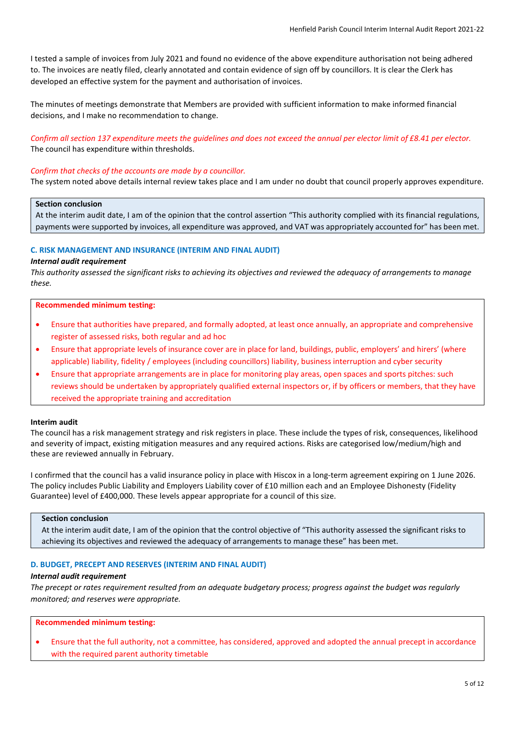I tested a sample of invoices from July 2021 and found no evidence of the above expenditure authorisation not being adhered to. The invoices are neatly filed, clearly annotated and contain evidence of sign off by councillors. It is clear the Clerk has developed an effective system for the payment and authorisation of invoices.

The minutes of meetings demonstrate that Members are provided with sufficient information to make informed financial decisions, and I make no recommendation to change.

# *Confirm all section 137 expenditure meets the guidelines and does not exceed the annual per elector limit of £8.41 per elector.* The council has expenditure within thresholds.

#### *Confirm that checks of the accounts are made by a councillor.*

The system noted above details internal review takes place and I am under no doubt that council properly approves expenditure.

# **Section conclusion**

At the interim audit date, I am of the opinion that the control assertion "This authority complied with its financial regulations, payments were supported by invoices, all expenditure was approved, and VAT was appropriately accounted for" has been met.

### **C. RISK MANAGEMENT AND INSURANCE (INTERIM AND FINAL AUDIT)**

#### *Internal audit requirement*

*This authority assessed the significant risks to achieving its objectives and reviewed the adequacy of arrangements to manage these.*

#### **Recommended minimum testing:**

- Ensure that authorities have prepared, and formally adopted, at least once annually, an appropriate and comprehensive register of assessed risks, both regular and ad hoc
- Ensure that appropriate levels of insurance cover are in place for land, buildings, public, employers' and hirers' (where applicable) liability, fidelity / employees (including councillors) liability, business interruption and cyber security
- Ensure that appropriate arrangements are in place for monitoring play areas, open spaces and sports pitches: such reviews should be undertaken by appropriately qualified external inspectors or, if by officers or members, that they have received the appropriate training and accreditation

#### **Interim audit**

The council has a risk management strategy and risk registers in place. These include the types of risk, consequences, likelihood and severity of impact, existing mitigation measures and any required actions. Risks are categorised low/medium/high and these are reviewed annually in February.

I confirmed that the council has a valid insurance policy in place with Hiscox in a long-term agreement expiring on 1 June 2026. The policy includes Public Liability and Employers Liability cover of £10 million each and an Employee Dishonesty (Fidelity Guarantee) level of £400,000. These levels appear appropriate for a council of this size.

# **Section conclusion**

At the interim audit date, I am of the opinion that the control objective of "This authority assessed the significant risks to achieving its objectives and reviewed the adequacy of arrangements to manage these" has been met.

# **D. BUDGET, PRECEPT AND RESERVES (INTERIM AND FINAL AUDIT)**

## *Internal audit requirement*

*The precept or rates requirement resulted from an adequate budgetary process; progress against the budget was regularly monitored; and reserves were appropriate.*

# **Recommended minimum testing:**

• Ensure that the full authority, not a committee, has considered, approved and adopted the annual precept in accordance with the required parent authority timetable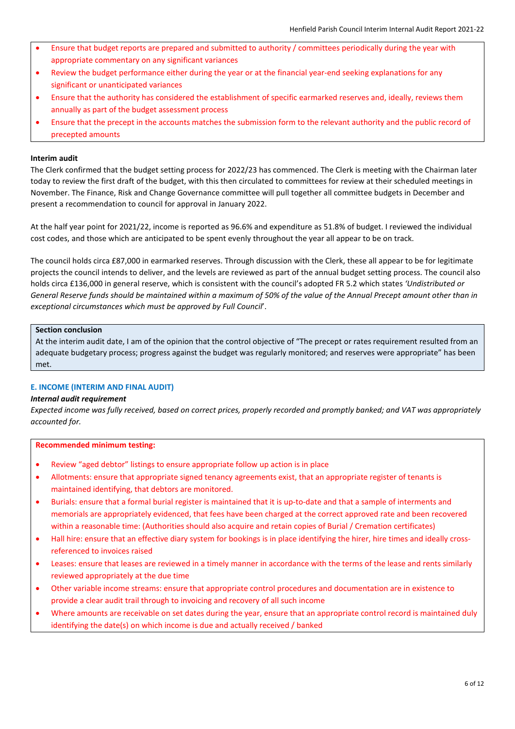- Ensure that budget reports are prepared and submitted to authority / committees periodically during the year with appropriate commentary on any significant variances
- Review the budget performance either during the year or at the financial year-end seeking explanations for any significant or unanticipated variances
- Ensure that the authority has considered the establishment of specific earmarked reserves and, ideally, reviews them annually as part of the budget assessment process
- Ensure that the precept in the accounts matches the submission form to the relevant authority and the public record of precepted amounts

The Clerk confirmed that the budget setting process for 2022/23 has commenced. The Clerk is meeting with the Chairman later today to review the first draft of the budget, with this then circulated to committees for review at their scheduled meetings in November. The Finance, Risk and Change Governance committee will pull together all committee budgets in December and present a recommendation to council for approval in January 2022.

At the half year point for 2021/22, income is reported as 96.6% and expenditure as 51.8% of budget. I reviewed the individual cost codes, and those which are anticipated to be spent evenly throughout the year all appear to be on track.

The council holds circa £87,000 in earmarked reserves. Through discussion with the Clerk, these all appear to be for legitimate projects the council intends to deliver, and the levels are reviewed as part of the annual budget setting process. The council also holds circa £136,000 in general reserve, which is consistent with the council's adopted FR 5.2 which states *'Undistributed or General Reserve funds should be maintained within a maximum of 50% of the value of the Annual Precept amount other than in exceptional circumstances which must be approved by Full Council*'.

### **Section conclusion**

At the interim audit date, I am of the opinion that the control objective of "The precept or rates requirement resulted from an adequate budgetary process; progress against the budget was regularly monitored; and reserves were appropriate" has been met.

# **E. INCOME (INTERIM AND FINAL AUDIT)**

### *Internal audit requirement*

*Expected income was fully received, based on correct prices, properly recorded and promptly banked; and VAT was appropriately accounted for.*

### **Recommended minimum testing:**

- Review "aged debtor" listings to ensure appropriate follow up action is in place
- Allotments: ensure that appropriate signed tenancy agreements exist, that an appropriate register of tenants is maintained identifying, that debtors are monitored.
- Burials: ensure that a formal burial register is maintained that it is up-to-date and that a sample of interments and memorials are appropriately evidenced, that fees have been charged at the correct approved rate and been recovered within a reasonable time: (Authorities should also acquire and retain copies of Burial / Cremation certificates)
- Hall hire: ensure that an effective diary system for bookings is in place identifying the hirer, hire times and ideally crossreferenced to invoices raised
- Leases: ensure that leases are reviewed in a timely manner in accordance with the terms of the lease and rents similarly reviewed appropriately at the due time
- Other variable income streams: ensure that appropriate control procedures and documentation are in existence to provide a clear audit trail through to invoicing and recovery of all such income
- Where amounts are receivable on set dates during the year, ensure that an appropriate control record is maintained duly identifying the date(s) on which income is due and actually received / banked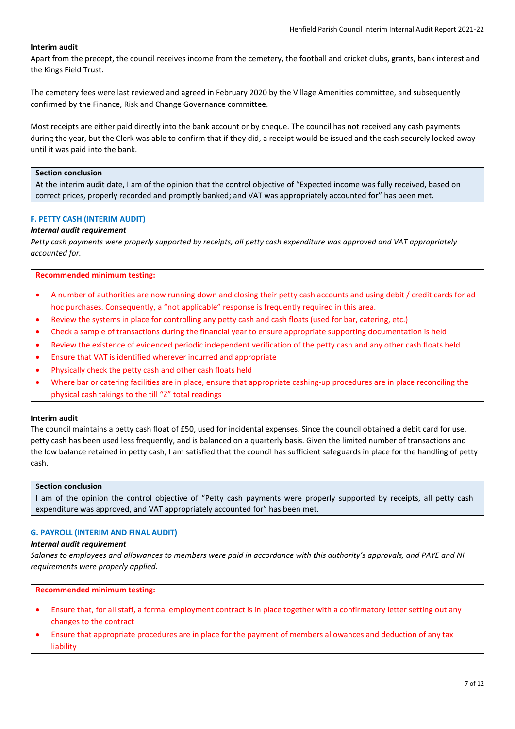Apart from the precept, the council receives income from the cemetery, the football and cricket clubs, grants, bank interest and the Kings Field Trust.

The cemetery fees were last reviewed and agreed in February 2020 by the Village Amenities committee, and subsequently confirmed by the Finance, Risk and Change Governance committee.

Most receipts are either paid directly into the bank account or by cheque. The council has not received any cash payments during the year, but the Clerk was able to confirm that if they did, a receipt would be issued and the cash securely locked away until it was paid into the bank.

### **Section conclusion**

At the interim audit date, I am of the opinion that the control objective of "Expected income was fully received, based on correct prices, properly recorded and promptly banked; and VAT was appropriately accounted for" has been met.

# **F. PETTY CASH (INTERIM AUDIT)**

## *Internal audit requirement*

*Petty cash payments were properly supported by receipts, all petty cash expenditure was approved and VAT appropriately accounted for.*

## **Recommended minimum testing:**

- A number of authorities are now running down and closing their petty cash accounts and using debit / credit cards for ad hoc purchases. Consequently, a "not applicable" response is frequently required in this area.
- Review the systems in place for controlling any petty cash and cash floats (used for bar, catering, etc.)
- Check a sample of transactions during the financial year to ensure appropriate supporting documentation is held
- Review the existence of evidenced periodic independent verification of the petty cash and any other cash floats held
- Ensure that VAT is identified wherever incurred and appropriate
- Physically check the petty cash and other cash floats held
- Where bar or catering facilities are in place, ensure that appropriate cashing-up procedures are in place reconciling the physical cash takings to the till "Z" total readings

### **Interim audit**

The council maintains a petty cash float of £50, used for incidental expenses. Since the council obtained a debit card for use, petty cash has been used less frequently, and is balanced on a quarterly basis. Given the limited number of transactions and the low balance retained in petty cash, I am satisfied that the council has sufficient safeguards in place for the handling of petty cash.

# **Section conclusion**

I am of the opinion the control objective of "Petty cash payments were properly supported by receipts, all petty cash expenditure was approved, and VAT appropriately accounted for" has been met.

# **G. PAYROLL (INTERIM AND FINAL AUDIT)**

# *Internal audit requirement*

*Salaries to employees and allowances to members were paid in accordance with this authority's approvals, and PAYE and NI requirements were properly applied.*

### **Recommended minimum testing:**

- Ensure that, for all staff, a formal employment contract is in place together with a confirmatory letter setting out any changes to the contract
- Ensure that appropriate procedures are in place for the payment of members allowances and deduction of any tax liability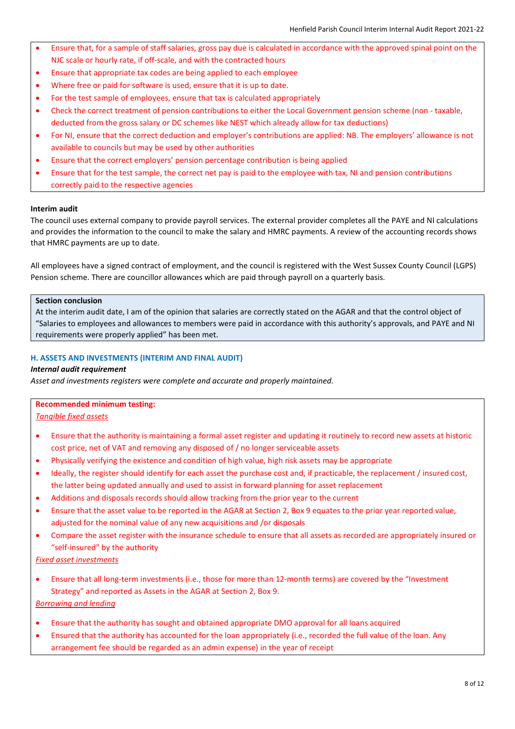- Ensure that, for a sample of staff salaries, gross pay due is calculated in accordance with the approved spinal point on the NJC scale or hourly rate, if off-scale, and with the contracted hours
- Ensure that appropriate tax codes are being applied to each employee
- Where free or paid for software is used, ensure that it is up to date.
- For the test sample of employees, ensure that tax is calculated appropriately
- Check the correct treatment of pension contributions to either the Local Government pension scheme (non taxable, deducted from the gross salary or DC schemes like NEST which already allow for tax deductions)
- For NI, ensure that the correct deduction and employer's contributions are applied: NB. The employers' allowance is not available to councils but may be used by other authorities
- Ensure that the correct employers' pension percentage contribution is being applied
- Ensure that for the test sample, the correct net pay is paid to the employee with tax, NI and pension contributions correctly paid to the respective agencies

The council uses external company to provide payroll services. The external provider completes all the PAYE and NI calculations and provides the information to the council to make the salary and HMRC payments. A review of the accounting records shows that HMRC payments are up to date.

All employees have a signed contract of employment, and the council is registered with the West Sussex County Council (LGPS) Pension scheme. There are councillor allowances which are paid through payroll on a quarterly basis.

# **Section conclusion**

At the interim audit date, I am of the opinion that salaries are correctly stated on the AGAR and that the control object of "Salaries to employees and allowances to members were paid in accordance with this authority's approvals, and PAYE and NI requirements were properly applied" has been met.

# **H. ASSETS AND INVESTMENTS (INTERIM AND FINAL AUDIT)**

# *Internal audit requirement*

*Asset and investments registers were complete and accurate and properly maintained.*

# **Recommended minimum testing:**

*Tangible fixed assets*

- Ensure that the authority is maintaining a formal asset register and updating it routinely to record new assets at historic cost price, net of VAT and removing any disposed of / no longer serviceable assets
- Physically verifying the existence and condition of high value, high risk assets may be appropriate
- Ideally, the register should identify for each asset the purchase cost and, if practicable, the replacement / insured cost, the latter being updated annually and used to assist in forward planning for asset replacement
- Additions and disposals records should allow tracking from the prior year to the current
- Ensure that the asset value to be reported in the AGAR at Section 2, Box 9 equates to the prior year reported value, adjusted for the nominal value of any new acquisitions and /or disposals
- Compare the asset register with the insurance schedule to ensure that all assets as recorded are appropriately insured or "self-insured" by the authority

# *Fixed asset investments*

• Ensure that all long-term investments (i.e., those for more than 12-month terms) are covered by the "Investment Strategy" and reported as Assets in the AGAR at Section 2, Box 9.

# *Borrowing and lending*

- Ensure that the authority has sought and obtained appropriate DMO approval for all loans acquired
- Ensured that the authority has accounted for the loan appropriately (i.e., recorded the full value of the loan. Any arrangement fee should be regarded as an admin expense) in the year of receipt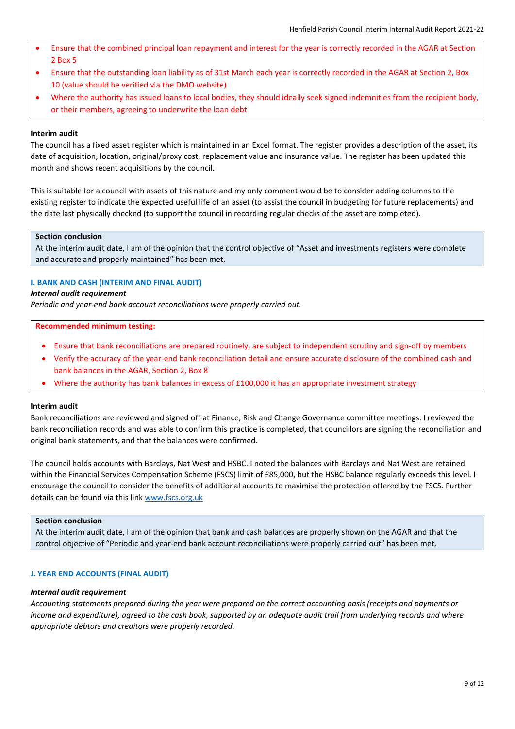- Ensure that the combined principal loan repayment and interest for the year is correctly recorded in the AGAR at Section 2 Box 5
- Ensure that the outstanding loan liability as of 31st March each year is correctly recorded in the AGAR at Section 2, Box 10 (value should be verified via the DMO website)
- Where the authority has issued loans to local bodies, they should ideally seek signed indemnities from the recipient body, or their members, agreeing to underwrite the loan debt

The council has a fixed asset register which is maintained in an Excel format. The register provides a description of the asset, its date of acquisition, location, original/proxy cost, replacement value and insurance value. The register has been updated this month and shows recent acquisitions by the council.

This is suitable for a council with assets of this nature and my only comment would be to consider adding columns to the existing register to indicate the expected useful life of an asset (to assist the council in budgeting for future replacements) and the date last physically checked (to support the council in recording regular checks of the asset are completed).

## **Section conclusion**

At the interim audit date, I am of the opinion that the control objective of "Asset and investments registers were complete and accurate and properly maintained" has been met.

# **I. BANK AND CASH (INTERIM AND FINAL AUDIT)**

#### *Internal audit requirement*

*Periodic and year-end bank account reconciliations were properly carried out.*

#### **Recommended minimum testing:**

- Ensure that bank reconciliations are prepared routinely, are subject to independent scrutiny and sign-off by members
- Verify the accuracy of the year-end bank reconciliation detail and ensure accurate disclosure of the combined cash and bank balances in the AGAR, Section 2, Box 8
- Where the authority has bank balances in excess of £100,000 it has an appropriate investment strategy

### **Interim audit**

Bank reconciliations are reviewed and signed off at Finance, Risk and Change Governance committee meetings. I reviewed the bank reconciliation records and was able to confirm this practice is completed, that councillors are signing the reconciliation and original bank statements, and that the balances were confirmed.

The council holds accounts with Barclays, Nat West and HSBC. I noted the balances with Barclays and Nat West are retained within the Financial Services Compensation Scheme (FSCS) limit of £85,000, but the HSBC balance regularly exceeds this level. I encourage the council to consider the benefits of additional accounts to maximise the protection offered by the FSCS. Further details can be found via this lin[k www.fscs.org.uk](https://www.fscs.org.uk/)

#### **Section conclusion**

At the interim audit date, I am of the opinion that bank and cash balances are properly shown on the AGAR and that the control objective of "Periodic and year-end bank account reconciliations were properly carried out" has been met.

## **J. YEAR END ACCOUNTS (FINAL AUDIT)**

#### *Internal audit requirement*

*Accounting statements prepared during the year were prepared on the correct accounting basis (receipts and payments or income and expenditure), agreed to the cash book, supported by an adequate audit trail from underlying records and where appropriate debtors and creditors were properly recorded.*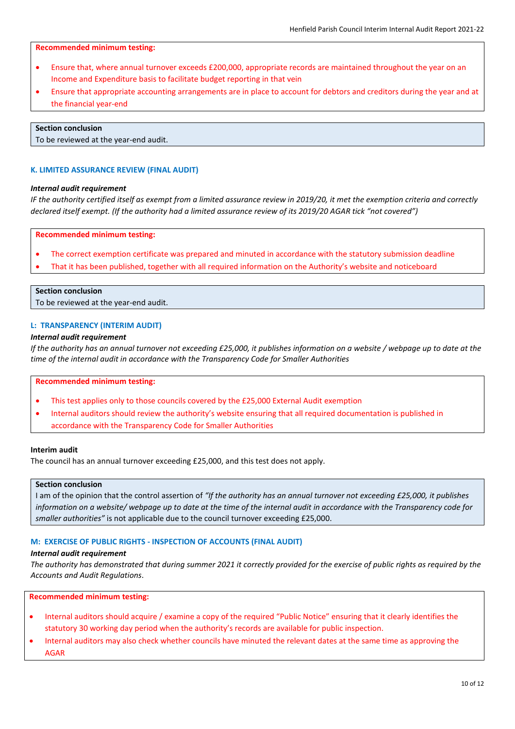### **Recommended minimum testing:**

- Ensure that, where annual turnover exceeds £200,000, appropriate records are maintained throughout the year on an Income and Expenditure basis to facilitate budget reporting in that vein
- Ensure that appropriate accounting arrangements are in place to account for debtors and creditors during the year and at the financial year-end

#### **Section conclusion**

To be reviewed at the year-end audit.

## **K. LIMITED ASSURANCE REVIEW (FINAL AUDIT)**

## *Internal audit requirement*

*IF the authority certified itself as exempt from a limited assurance review in 2019/20, it met the exemption criteria and correctly declared itself exempt. (If the authority had a limited assurance review of its 2019/20 AGAR tick "not covered")*

## **Recommended minimum testing:**

- The correct exemption certificate was prepared and minuted in accordance with the statutory submission deadline
- That it has been published, together with all required information on the Authority's website and noticeboard

# **Section conclusion**

To be reviewed at the year-end audit.

### **L: TRANSPARENCY (INTERIM AUDIT)**

### *Internal audit requirement*

*If the authority has an annual turnover not exceeding £25,000, it publishes information on a website / webpage up to date at the time of the internal audit in accordance with the Transparency Code for Smaller Authorities*

### **Recommended minimum testing:**

- This test applies only to those councils covered by the £25,000 External Audit exemption
- Internal auditors should review the authority's website ensuring that all required documentation is published in accordance with the Transparency Code for Smaller Authorities

# **Interim audit**

The council has an annual turnover exceeding £25,000, and this test does not apply.

# **Section conclusion**

I am of the opinion that the control assertion of *"If the authority has an annual turnover not exceeding £25,000, it publishes information on a website/ webpage up to date at the time of the internal audit in accordance with the Transparency code for smaller authorities"* is not applicable due to the council turnover exceeding £25,000.

## **M: EXERCISE OF PUBLIC RIGHTS - INSPECTION OF ACCOUNTS (FINAL AUDIT)**

## *Internal audit requirement*

*The authority has demonstrated that during summer 2021 it correctly provided for the exercise of public rights as required by the Accounts and Audit Regulations*.

## **Recommended minimum testing:**

- Internal auditors should acquire / examine a copy of the required "Public Notice" ensuring that it clearly identifies the statutory 30 working day period when the authority's records are available for public inspection.
- Internal auditors may also check whether councils have minuted the relevant dates at the same time as approving the AGAR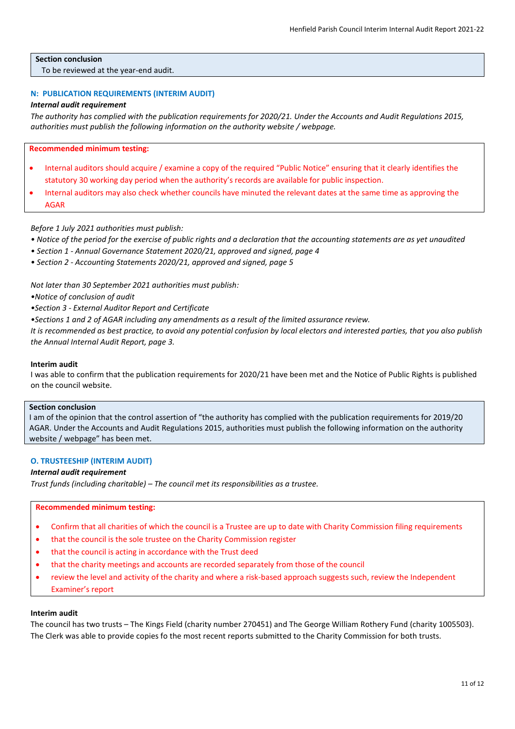## **Section conclusion**

To be reviewed at the year-end audit.

# **N: PUBLICATION REQUIREMENTS (INTERIM AUDIT)**

## *Internal audit requirement*

*The authority has complied with the publication requirements for 2020/21. Under the Accounts and Audit Regulations 2015, authorities must publish the following information on the authority website / webpage.*

**Recommended minimum testing:**

- Internal auditors should acquire / examine a copy of the required "Public Notice" ensuring that it clearly identifies the statutory 30 working day period when the authority's records are available for public inspection.
- Internal auditors may also check whether councils have minuted the relevant dates at the same time as approving the AGAR

*Before 1 July 2021 authorities must publish:*

- *Notice of the period for the exercise of public rights and a declaration that the accounting statements are as yet unaudited*
- *Section 1 - Annual Governance Statement 2020/21, approved and signed, page 4*
- *Section 2 - Accounting Statements 2020/21, approved and signed, page 5*

*Not later than 30 September 2021 authorities must publish:*

*•Notice of conclusion of audit*

*•Section 3 - External Auditor Report and Certificate*

*•Sections 1 and 2 of AGAR including any amendments as a result of the limited assurance review.*

*It is recommended as best practice, to avoid any potential confusion by local electors and interested parties, that you also publish the Annual Internal Audit Report, page 3.*

### **Interim audit**

I was able to confirm that the publication requirements for 2020/21 have been met and the Notice of Public Rights is published on the council website.

## **Section conclusion**

I am of the opinion that the control assertion of "the authority has complied with the publication requirements for 2019/20 AGAR. Under the Accounts and Audit Regulations 2015, authorities must publish the following information on the authority website / webpage" has been met.

### **O. TRUSTEESHIP (INTERIM AUDIT)**

## *Internal audit requirement*

*Trust funds (including charitable) – The council met its responsibilities as a trustee.*

**Recommended minimum testing:**

- Confirm that all charities of which the council is a Trustee are up to date with Charity Commission filing requirements
- that the council is the sole trustee on the Charity Commission register
- that the council is acting in accordance with the Trust deed
- that the charity meetings and accounts are recorded separately from those of the council
- review the level and activity of the charity and where a risk-based approach suggests such, review the Independent Examiner's report

## **Interim audit**

The council has two trusts – The Kings Field (charity number 270451) and The George William Rothery Fund (charity 1005503). The Clerk was able to provide copies fo the most recent reports submitted to the Charity Commission for both trusts.